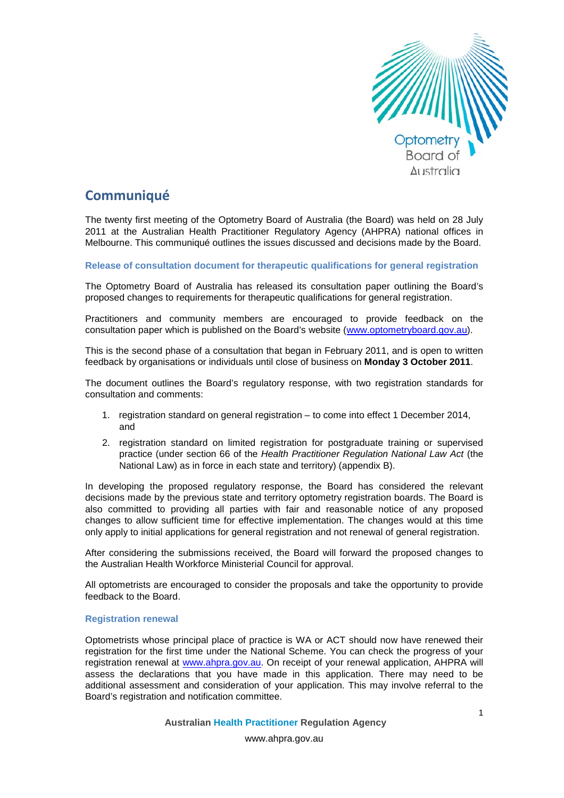

# **Communiqué**

The twenty first meeting of the Optometry Board of Australia (the Board) was held on 28 July 2011 at the Australian Health Practitioner Regulatory Agency (AHPRA) national offices in Melbourne. This communiqué outlines the issues discussed and decisions made by the Board.

**Release of consultation document for therapeutic qualifications for general registration** 

The Optometry Board of Australia has released its consultation paper outlining the Board's proposed changes to requirements for therapeutic qualifications for general registration.

Practitioners and community members are encouraged to provide feedback on the consultation paper which is published on the Board's website [\(www.optometryboard.gov.au\)](http://www.optometryboard.gov.au/).

This is the second phase of a consultation that began in February 2011, and is open to written feedback by organisations or individuals until close of business on **Monday 3 October 2011**.

The document outlines the Board's regulatory response, with two registration standards for consultation and comments:

- 1. registration standard on general registration to come into effect 1 December 2014, and
- 2. registration standard on limited registration for postgraduate training or supervised practice (under section 66 of the *Health Practitioner Regulation National Law Act* (the National Law) as in force in each state and territory) (appendix B).

In developing the proposed regulatory response, the Board has considered the relevant decisions made by the previous state and territory optometry registration boards. The Board is also committed to providing all parties with fair and reasonable notice of any proposed changes to allow sufficient time for effective implementation. The changes would at this time only apply to initial applications for general registration and not renewal of general registration.

After considering the submissions received, the Board will forward the proposed changes to the Australian Health Workforce Ministerial Council for approval.

All optometrists are encouraged to consider the proposals and take the opportunity to provide feedback to the Board.

# **Registration renewal**

Optometrists whose principal place of practice is WA or ACT should now have renewed their registration for the first time under the National Scheme. You can check the progress of your registration renewal at [www.ahpra.gov.au.](http://www.ahpra.gov.au/) On receipt of your renewal application, AHPRA will assess the declarations that you have made in this application. There may need to be additional assessment and consideration of your application. This may involve referral to the Board's registration and notification committee.

**Australian Health Practitioner Regulation Agency**

www.ahpra.gov.au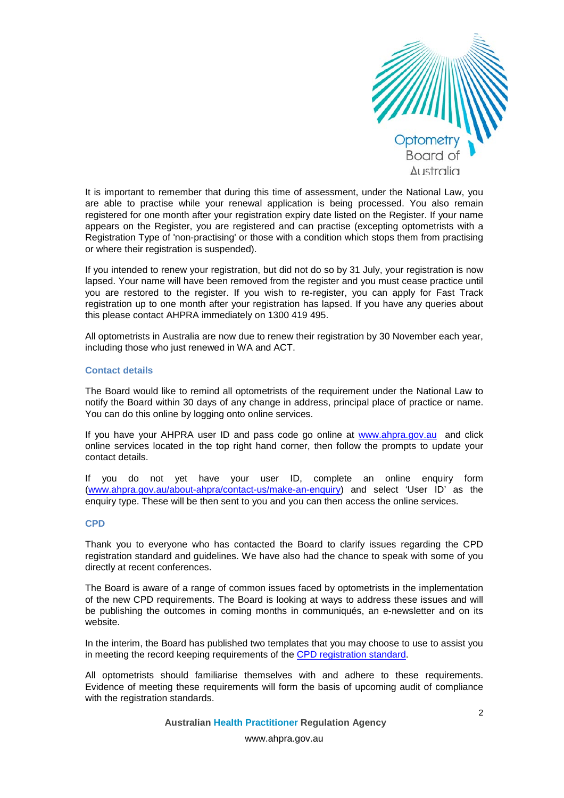

It is important to remember that during this time of assessment, under the National Law, you are able to practise while your renewal application is being processed. You also remain registered for one month after your registration expiry date listed on the Register. If your name appears on the Register, you are registered and can practise (excepting optometrists with a Registration Type of 'non-practising' or those with a condition which stops them from practising or where their registration is suspended).

If you intended to renew your registration, but did not do so by 31 July, your registration is now lapsed. Your name will have been removed from the register and you must cease practice until you are restored to the register. If you wish to re-register, you can apply for Fast Track registration up to one month after your registration has lapsed. If you have any queries about this please contact AHPRA immediately on 1300 419 495.

All optometrists in Australia are now due to renew their registration by 30 November each year, including those who just renewed in WA and ACT.

# **Contact details**

The Board would like to remind all optometrists of the requirement under the National Law to notify the Board within 30 days of any change in address, principal place of practice or name. You can do this online by logging onto online services.

If you have your AHPRA user ID and pass code go online at [www.ahpra.gov.au](http://www.ahpra.gov.au/) and click online services located in the top right hand corner, then follow the prompts to update your contact details.

If you do not yet have your user ID, complete an online enquiry form [\(www.ahpra.gov.au/about-ahpra/contact-us/make-an-enquiry\)](http://www.ahpra.gov.au/about-ahpra/contact-us/make-an-enquiry) and select 'User ID' as the enquiry type. These will be then sent to you and you can then access the online services.

#### **CPD**

Thank you to everyone who has contacted the Board to clarify issues regarding the CPD registration standard and guidelines. We have also had the chance to speak with some of you directly at recent conferences.

The Board is aware of a range of common issues faced by optometrists in the implementation of the new CPD requirements. The Board is looking at ways to address these issues and will be publishing the outcomes in coming months in communiqués, an e-newsletter and on its website.

In the interim, the Board has published two templates that you may choose to use to assist you in meeting the record keeping requirements of the [CPD registration standard.](http://www.optometryboard.gov.au/CPD/Key-Documents.aspx)

All optometrists should familiarise themselves with and adhere to these requirements. Evidence of meeting these requirements will form the basis of upcoming audit of compliance with the registration standards.

**Australian Health Practitioner Regulation Agency**